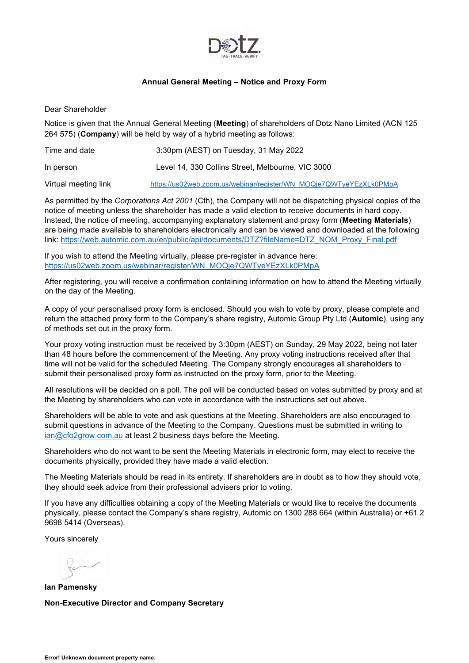

#### **Annual General Meeting – Notice and Proxy Form**

<span id="page-0-4"></span><span id="page-0-0"></span>Dear Shareholder

Notice is given that the Annual General Meeting (**Meeting**) of shareholders of Dotz Nano Limited (ACN 125 264 575) (**Company**) will be held by way of a hybrid meeting as follows:

| Time and date        | 3:30pm (AEST) on Tuesday, 31 May 2022                              |
|----------------------|--------------------------------------------------------------------|
| In person            | Level 14, 330 Collins Street, Melbourne, VIC 3000                  |
| Virtual meeting link | https://us02web.zoom.us/webinar/register/WN_MOQje7QWTyeYEzXLk0PMpA |

<span id="page-0-6"></span><span id="page-0-2"></span>As permitted by the *Corporations Act 2001* (Cth), the Company will not be dispatching physical copies of the notice of meeting unless the shareholder has made a valid election to receive documents in hard copy. Instead, the notice of meeting, accompanying explanatory statement and proxy form (**Meeting Materials**) are being made available to shareholders electronically and can be viewed and downloaded at the following link: [https://web.automic.com.au/er/public/api/documents/DTZ?fileName=DTZ\\_NOM\\_Proxy\\_Final.pdf](https://web.automic.com.au/er/public/api/documents/DTZ?fileName=DTZ_NOM_Proxy_Final.pdf)

<span id="page-0-5"></span>If you wish to attend the Meeting virtually, please pre-register in advance here: [https://us02web.zoom.us/webinar/register/WN\\_MOQje7QWTyeYEzXLk0PMpA](https://us02web.zoom.us/webinar/register/WN_MOQje7QWTyeYEzXLk0PMpA)

After registering, you will receive a confirmation containing information on how to attend the Meeting virtually on the day of the Meeting.

A copy of your personalised proxy form is enclosed. Should you wish to vote by proxy, please complete and return the attached proxy form to the Company's share registry, Automic Group Pty Ltd (**Automic**), using any of methods set out in the proxy form.

Your proxy voting instruction must be received by 3:30pm (AEST) on Sunday, 29 May 2022, being not later than 48 hours before the commencement of the Meeting. Any proxy voting instructions received after that time will not be valid for the scheduled Meeting. The Company strongly encourages all shareholders to submit their personalised proxy form as instructed on the proxy form, prior to the Meeting.

<span id="page-0-1"></span>All resolutions will be decided on a poll. The poll will be conducted based on votes submitted by proxy and at the Meeting by shareholders who can vote in accordance with the instructions set out above.

<span id="page-0-7"></span>Shareholders will be able to vote and ask questions at the Meeting. Shareholders are also encouraged to submit questions in advance of the Meeting to the Company. Questions must be submitted in writing to [ian@cfo2grow.com.au](mailto:ian@cfo2grow.com.au) at least 2 business days before the Meeting.

<span id="page-0-3"></span>Shareholders who do not want to be sent the Meeting Materials in electronic form, may elect to receive the documents physically, provided they have made a valid election.

The Meeting Materials should be read in its entirety. If shareholders are in doubt as to how they should vote, they should seek advice from their professional advisers prior to voting.

If you have any difficulties obtaining a copy of the Meeting Materials or would like to receive the documents physically, please contact the Company's share registry, Automic on 1300 288 664 (within Australia) or +61 2 9698 5414 (Overseas).

Yours sincerely

**Ian Pamensky Non-Executive Director and Company Secretary**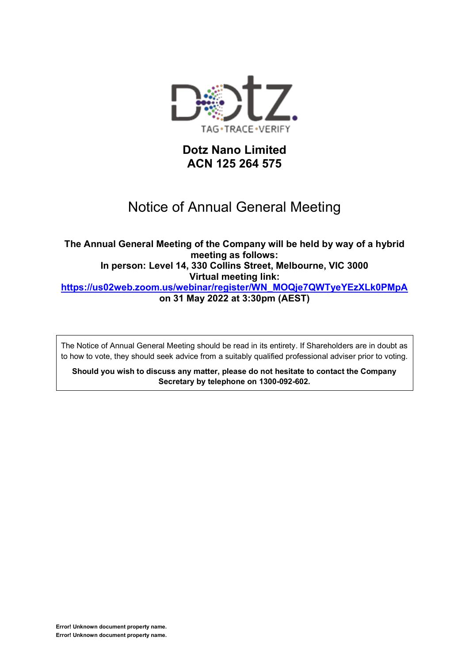

## **Dotz Nano Limited ACN 125 264 575**

## Notice of Annual General Meeting

**The Annual General Meeting of the Company will be held by way of a hybrid meeting as follows: In person: Level 14, 330 Collins Street, Melbourne, VIC 3000 Virtual meeting link: [https://us02web.zoom.us/webinar/register/WN\\_MOQje7QWTyeYEzXLk0PMpA](https://us02web.zoom.us/webinar/register/WN_MOQje7QWTyeYEzXLk0PMpA) on 31 May 2022 at 3:30pm (AEST)**

The Notice of Annual General Meeting should be read in its entirety. If Shareholders are in doubt as to how to vote, they should seek advice from a suitably qualified professional adviser prior to voting.

**Should you wish to discuss any matter, please do not hesitate to contact the Company Secretary by telephone on 1300-092-602.**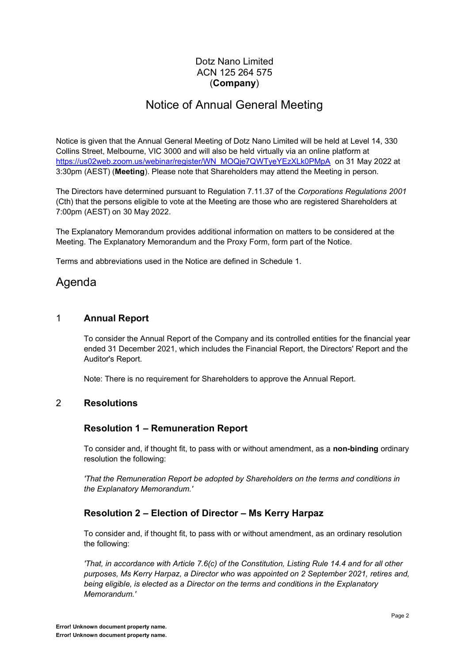## Dotz Nano Limited ACN 125 264 575 (**Company**)

## Notice of Annual General Meeting

Notice is given that the Annual General Meeting of Dotz Nano Limited will be held at Level 14, 330 Collins Street, Melbourne, VIC 3000 and will also be held virtually via an online platform at [https://us02web.zoom.us/webinar/register/WN\\_MOQje7QWTyeYEzXLk0PMpA](https://us02web.zoom.us/webinar/register/WN_MOQje7QWTyeYEzXLk0PMpA) on 31 May 2022 at 3:30pm (AEST) (**Meeting**). Please note that Shareholders may attend the Meeting in person.

The Directors have determined pursuant to Regulation 7.11.37 of the *Corporations Regulations 2001* (Cth) that the persons eligible to vote at the Meeting are those who are registered Shareholders at 7:00pm (AEST) on 30 May 2022.

The Explanatory Memorandum provides additional information on matters to be considered at the Meeting. The Explanatory Memorandum and the Proxy Form, form part of the Notice.

Terms and abbreviations used in the Notice are defined in [Schedule](#page-0-0) [1.](#page-0-0)

## Agenda

## 1 **Annual Report**

To consider the Annual Report of the Company and its controlled entities for the financial year ended 31 December 2021, which includes the Financial Report, the Directors' Report and the Auditor's Report.

Note: There is no requirement for Shareholders to approve the Annual Report.

## 2 **Resolutions**

## **Resolution 1 ± Remuneration Report**

To consider and, if thought fit, to pass with or without amendment, as a **non-binding** ordinary resolution the following:

*'That the Remuneration Report be adopted by Shareholders on the terms and conditions in the Explanatory Memorandum.'*

## **Resolution 2 ± Election of Director ± Ms Kerry Harpaz**

To consider and, if thought fit, to pass with or without amendment, as an ordinary resolution the following:

*'That, in accordance with Article 7.6(c) of the Constitution, Listing Rule 14.4 and for all other purposes, Ms Kerry Harpaz, a Director who was appointed on 2 September 2021, retires and, being eligible, is elected as a Director on the terms and conditions in the Explanatory Memorandum.'*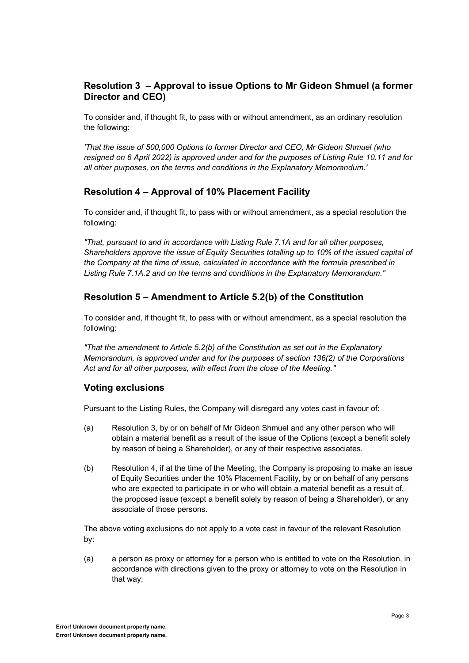## **Resolution 3 ± Approval to issue Options to Mr Gideon Shmuel (a former Director and CEO)**

To consider and, if thought fit, to pass with or without amendment, as an ordinary resolution the following:

*'That the issue of 500,000 Options to former Director and CEO, Mr Gideon Shmuel (who resigned on 6 April 2022) is approved under and for the purposes of Listing Rule 10.11 and for all other purposes, on the terms and conditions in the Explanatory Memorandum.'*

### **Resolution 4 ± Approval of 10% Placement Facility**

To consider and, if thought fit, to pass with or without amendment, as a special resolution the following:

*"That, pursuant to and in accordance with Listing Rule 7.1A and for all other purposes, Shareholders approve the issue of Equity Securities totalling up to 10% of the issued capital of the Company at the time of issue, calculated in accordance with the formula prescribed in Listing Rule 7.1A.2 and on the terms and conditions in the Explanatory Memorandum."*

### **Resolution 5 ± Amendment to Article 5.2(b) of the Constitution**

To consider and, if thought fit, to pass with or without amendment, as a special resolution the following:

*"That the amendment to Article 5.2(b) of the Constitution as set out in the Explanatory Memorandum, is approved under and for the purposes of section 136(2) of the Corporations Act and for all other purposes, with effect from the close of the Meeting."*

#### **Voting exclusions**

Pursuant to the Listing Rules, the Company will disregard any votes cast in favour of:

- (a) Resolution 3, by or on behalf of Mr Gideon Shmuel and any other person who will obtain a material benefit as a result of the issue of the Options (except a benefit solely by reason of being a Shareholder), or any of their respective associates.
- (b) Resolution 4, if at the time of the Meeting, the Company is proposing to make an issue of Equity Securities under the 10% Placement Facility, by or on behalf of any persons who are expected to participate in or who will obtain a material benefit as a result of, the proposed issue (except a benefit solely by reason of being a Shareholder), or any associate of those persons.

The above voting exclusions do not apply to a vote cast in favour of the relevant Resolution by:

(a) a person as proxy or attorney for a person who is entitled to vote on the Resolution, in accordance with directions given to the proxy or attorney to vote on the Resolution in that way;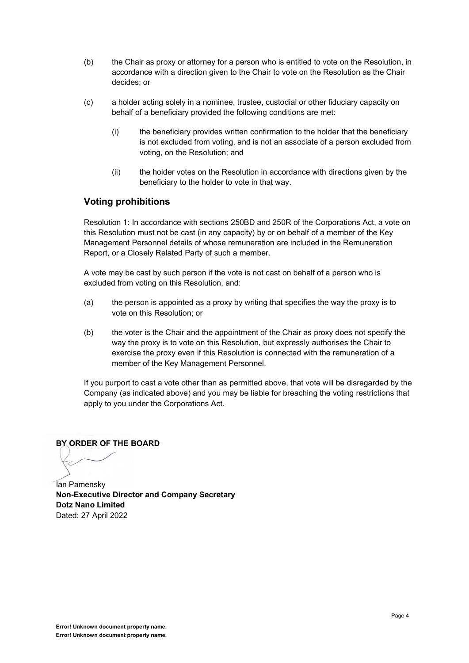- (b) the Chair as proxy or attorney for a person who is entitled to vote on the Resolution, in accordance with a direction given to the Chair to vote on the Resolution as the Chair decides; or
- (c) a holder acting solely in a nominee, trustee, custodial or other fiduciary capacity on behalf of a beneficiary provided the following conditions are met:
	- (i) the beneficiary provides written confirmation to the holder that the beneficiary is not excluded from voting, and is not an associate of a person excluded from voting, on the Resolution; and
	- (ii) the holder votes on the Resolution in accordance with directions given by the beneficiary to the holder to vote in that way.

### **Voting prohibitions**

Resolution 1: In accordance with sections 250BD and 250R of the Corporations Act, a vote on this Resolution must not be cast (in any capacity) by or on behalf of a member of the Key Management Personnel details of whose remuneration are included in the Remuneration Report, or a Closely Related Party of such a member.

A vote may be cast by such person if the vote is not cast on behalf of a person who is excluded from voting on this Resolution, and:

- (a) the person is appointed as a proxy by writing that specifies the way the proxy is to vote on this Resolution; or
- (b) the voter is the Chair and the appointment of the Chair as proxy does not specify the way the proxy is to vote on this Resolution, but expressly authorises the Chair to exercise the proxy even if this Resolution is connected with the remuneration of a member of the Key Management Personnel.

If you purport to cast a vote other than as permitted above, that vote will be disregarded by the Company (as indicated above) and you may be liable for breaching the voting restrictions that apply to you under the Corporations Act.

**BY ORDER OF THE BOARD**

Ian Pamensky **Non-Executive Director and Company Secretary Dotz Nano Limited** Dated: 27 April 2022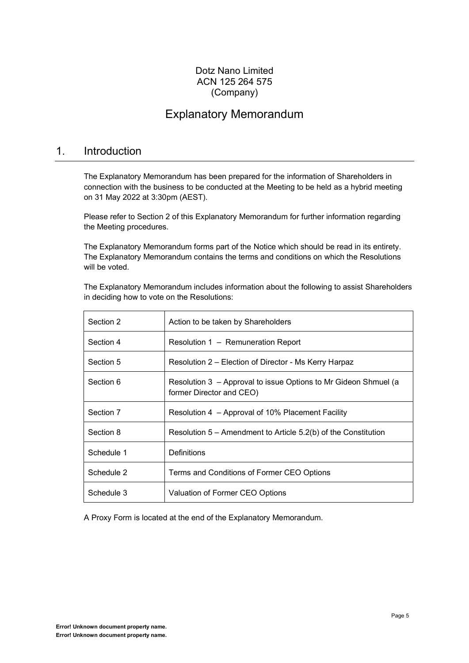## Dotz Nano Limited ACN 125 264 575 (Company)

## Explanatory Memorandum

## 1. Introduction

The Explanatory Memorandum has been prepared for the information of Shareholders in connection with the business to be conducted at the Meeting to be held as a hybrid meeting on 31 May 2022 at 3:30pm (AEST).

Please refer to Section [2](#page-0-0) of this Explanatory Memorandum for further information regarding the Meeting procedures.

The Explanatory Memorandum forms part of the Notice which should be read in its entirety. The Explanatory Memorandum contains the terms and conditions on which the Resolutions will be voted.

The Explanatory Memorandum includes information about the following to assist Shareholders in deciding how to vote on the Resolutions:

| Section 2  | Action to be taken by Shareholders                                                          |
|------------|---------------------------------------------------------------------------------------------|
| Section 4  | Resolution 1 – Remuneration Report                                                          |
| Section 5  | Resolution 2 – Election of Director - Ms Kerry Harpaz                                       |
| Section 6  | Resolution 3 - Approval to issue Options to Mr Gideon Shmuel (a<br>former Director and CEO) |
| Section 7  | Resolution 4 – Approval of 10% Placement Facility                                           |
| Section 8  | Resolution $5 -$ Amendment to Article $5.2(b)$ of the Constitution                          |
| Schedule 1 | Definitions                                                                                 |
| Schedule 2 | Terms and Conditions of Former CEO Options                                                  |
| Schedule 3 | Valuation of Former CEO Options                                                             |

A Proxy Form is located at the end of the Explanatory Memorandum.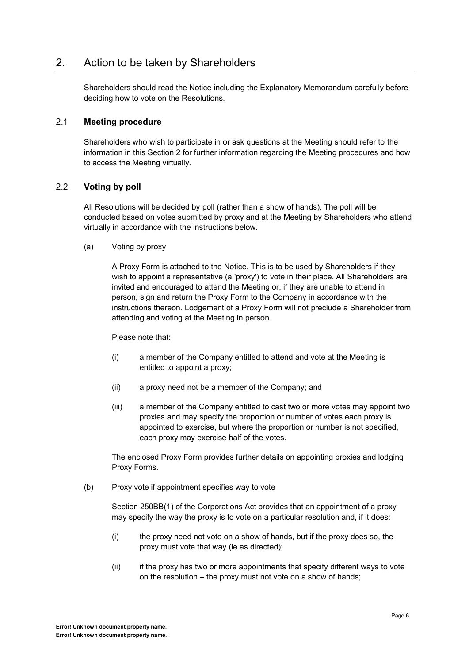## 2. Action to be taken by Shareholders

Shareholders should read the Notice including the Explanatory Memorandum carefully before deciding how to vote on the Resolutions.

#### 2.1 **Meeting procedure**

Shareholders who wish to participate in or ask questions at the Meeting should refer to the information in this Section [2](#page-0-0) for further information regarding the Meeting procedures and how to access the Meeting virtually.

#### 2.2 **Voting by poll**

All Resolutions will be decided by poll (rather than a show of hands). The poll will be conducted based on votes submitted by proxy and at the Meeting by Shareholders who attend virtually in accordance with the instructions below.

(a) Voting by proxy

A Proxy Form is attached to the Notice. This is to be used by Shareholders if they wish to appoint a representative (a 'proxy') to vote in their place. All Shareholders are invited and encouraged to attend the Meeting or, if they are unable to attend in person, sign and return the Proxy Form to the Company in accordance with the instructions thereon. Lodgement of a Proxy Form will not preclude a Shareholder from attending and voting at the Meeting in person.

#### Please note that:

- (i) a member of the Company entitled to attend and vote at the Meeting is entitled to appoint a proxy;
- (ii) a proxy need not be a member of the Company; and
- (iii) a member of the Company entitled to cast two or more votes may appoint two proxies and may specify the proportion or number of votes each proxy is appointed to exercise, but where the proportion or number is not specified, each proxy may exercise half of the votes.

The enclosed Proxy Form provides further details on appointing proxies and lodging Proxy Forms.

(b) Proxy vote if appointment specifies way to vote

Section 250BB(1) of the Corporations Act provides that an appointment of a proxy may specify the way the proxy is to vote on a particular resolution and, if it does:

- (i) the proxy need not vote on a show of hands, but if the proxy does so, the proxy must vote that way (ie as directed);
- (ii) if the proxy has two or more appointments that specify different ways to vote on the resolution  $-$  the proxy must not vote on a show of hands;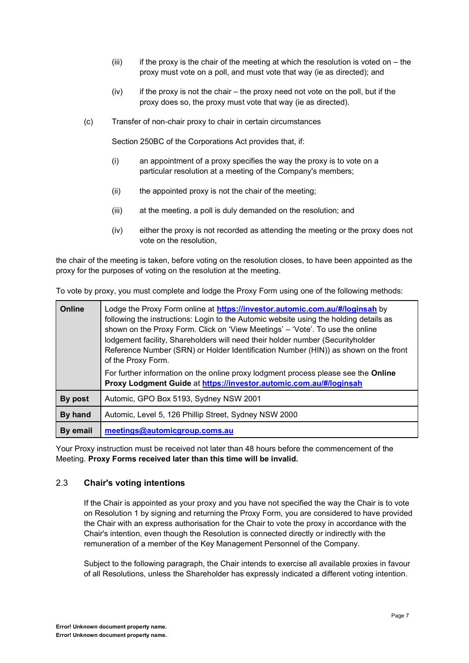- $(iii)$  if the proxy is the chair of the meeting at which the resolution is voted on  $-$  the proxy must vote on a poll, and must vote that way (ie as directed); and
- $(iv)$  if the proxy is not the chair  $-$  the proxy need not vote on the poll, but if the proxy does so, the proxy must vote that way (ie as directed).
- (c) Transfer of non-chair proxy to chair in certain circumstances

Section 250BC of the Corporations Act provides that, if:

- (i) an appointment of a proxy specifies the way the proxy is to vote on a particular resolution at a meeting of the Company's members;
- (ii) the appointed proxy is not the chair of the meeting;
- (iii) at the meeting, a poll is duly demanded on the resolution; and
- (iv) either the proxy is not recorded as attending the meeting or the proxy does not vote on the resolution,

the chair of the meeting is taken, before voting on the resolution closes, to have been appointed as the proxy for the purposes of voting on the resolution at the meeting.

| Online   | Lodge the Proxy Form online at <b>https://investor.automic.com.au/#/loginsah</b> by<br>following the instructions: Login to the Automic website using the holding details as<br>shown on the Proxy Form. Click on 'View Meetings' - 'Vote'. To use the online<br>lodgement facility, Shareholders will need their holder number (Securityholder<br>Reference Number (SRN) or Holder Identification Number (HIN)) as shown on the front<br>of the Proxy Form. |
|----------|--------------------------------------------------------------------------------------------------------------------------------------------------------------------------------------------------------------------------------------------------------------------------------------------------------------------------------------------------------------------------------------------------------------------------------------------------------------|
|          | For further information on the online proxy lodgment process please see the Online<br>Proxy Lodgment Guide at https://investor.automic.com.au/#/loginsah                                                                                                                                                                                                                                                                                                     |
| By post  | Automic, GPO Box 5193, Sydney NSW 2001                                                                                                                                                                                                                                                                                                                                                                                                                       |
| By hand  | Automic, Level 5, 126 Phillip Street, Sydney NSW 2000                                                                                                                                                                                                                                                                                                                                                                                                        |
| By email | meetings@automicgroup.coms.au                                                                                                                                                                                                                                                                                                                                                                                                                                |

To vote by proxy, you must complete and lodge the Proxy Form using one of the following methods:

Your Proxy instruction must be received not later than 48 hours before the commencement of the Meeting. **Proxy Forms received later than this time will be invalid.**

#### 2.3 **Chair's voting intentions**

If the Chair is appointed as your proxy and you have not specified the way the Chair is to vote on Resolution 1 by signing and returning the Proxy Form, you are considered to have provided the Chair with an express authorisation for the Chair to vote the proxy in accordance with the Chair's intention, even though the Resolution is connected directly or indirectly with the remuneration of a member of the Key Management Personnel of the Company.

Subject to the following paragraph, the Chair intends to exercise all available proxies in favour of all Resolutions, unless the Shareholder has expressly indicated a different voting intention.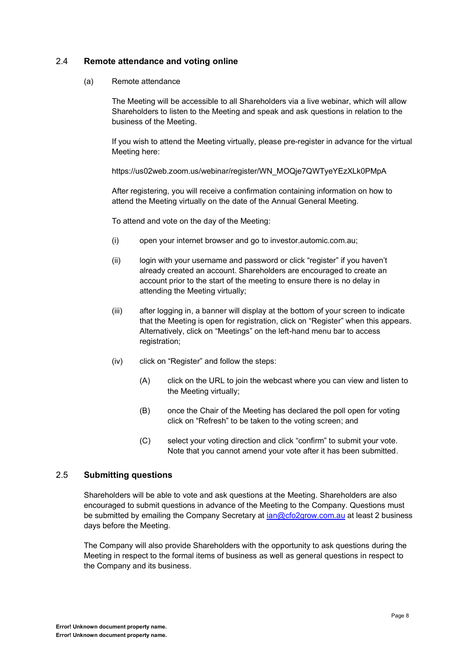#### 2.4 **Remote attendance and voting online**

#### (a) Remote attendance

The Meeting will be accessible to all Shareholders via a live webinar, which will allow Shareholders to listen to the Meeting and speak and ask questions in relation to the business of the Meeting.

If you wish to attend the Meeting virtually, please pre-register in advance for the virtual Meeting here:

https://us02web.zoom.us/webinar/register/WN\_MOQje7QWTyeYEzXLk0PMpA

After registering, you will receive a confirmation containing information on how to attend the Meeting virtually on the date of the Annual General Meeting.

To attend and vote on the day of the Meeting:

- (i) open your internet browser and go to investor.automic.com.au;
- (ii) login with your username and password or click "register" if you haven't already created an account. Shareholders are encouraged to create an account prior to the start of the meeting to ensure there is no delay in attending the Meeting virtually;
- (iii) after logging in, a banner will display at the bottom of your screen to indicate that the Meeting is open for registration, click on "Register" when this appears. Alternatively, click on "Meetings" on the left-hand menu bar to access registration;
- $(iv)$  click on "Register" and follow the steps:
	- (A) click on the URL to join the webcast where you can view and listen to the Meeting virtually;
	- (B) once the Chair of the Meeting has declared the poll open for voting click on "Refresh" to be taken to the voting screen; and
	- (C) select your voting direction and click "confirm" to submit your vote. Note that you cannot amend your vote after it has been submitted.

#### 2.5 **Submitting questions**

Shareholders will be able to vote and ask questions at the Meeting. Shareholders are also encouraged to submit questions in advance of the Meeting to the Company. Questions must be submitted by emailing the Company Secretary at *[ian@cfo2grow.com.au](mailto:ian@cfo2grow.com.au)* at least 2 business days before the Meeting.

The Company will also provide Shareholders with the opportunity to ask questions during the Meeting in respect to the formal items of business as well as general questions in respect to the Company and its business.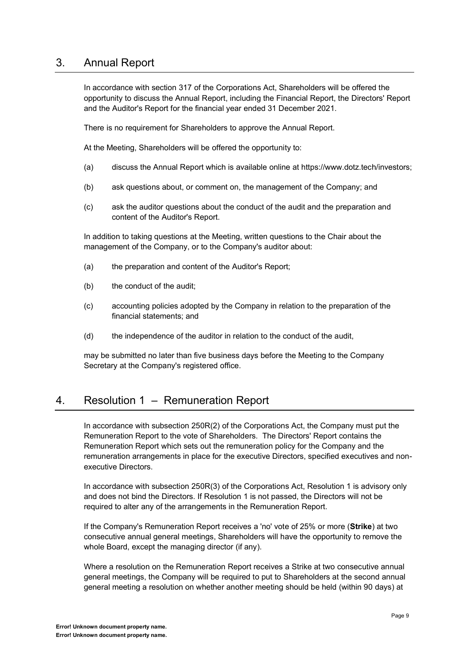## 3. Annual Report

In accordance with section 317 of the Corporations Act, Shareholders will be offered the opportunity to discuss the Annual Report, including the Financial Report, the Directors' Report and the Auditor's Report for the financial year ended 31 December 2021.

There is no requirement for Shareholders to approve the Annual Report.

At the Meeting, Shareholders will be offered the opportunity to:

- (a) discuss the Annual Report which is available online at https://www.dotz.tech/investors;
- (b) ask questions about, or comment on, the management of the Company; and
- (c) ask the auditor questions about the conduct of the audit and the preparation and content of the Auditor's Report.

In addition to taking questions at the Meeting, written questions to the Chair about the management of the Company, or to the Company's auditor about:

- (a) the preparation and content of the Auditor's Report;
- (b) the conduct of the audit;
- (c) accounting policies adopted by the Company in relation to the preparation of the financial statements; and
- (d) the independence of the auditor in relation to the conduct of the audit,

may be submitted no later than five business days before the Meeting to the Company Secretary at the Company's registered office.

## 4. Resolution 1 – Remuneration Report

In accordance with subsection 250R(2) of the Corporations Act, the Company must put the Remuneration Report to the vote of Shareholders. The Directors' Report contains the Remuneration Report which sets out the remuneration policy for the Company and the remuneration arrangements in place for the executive Directors, specified executives and nonexecutive Directors.

In accordance with subsection 250R(3) of the Corporations Act, Resolution 1 is advisory only and does not bind the Directors. If Resolution 1 is not passed, the Directors will not be required to alter any of the arrangements in the Remuneration Report.

If the Company's Remuneration Report receives a 'no' vote of 25% or more (**Strike**) at two consecutive annual general meetings, Shareholders will have the opportunity to remove the whole Board, except the managing director (if any).

Where a resolution on the Remuneration Report receives a Strike at two consecutive annual general meetings, the Company will be required to put to Shareholders at the second annual general meeting a resolution on whether another meeting should be held (within 90 days) at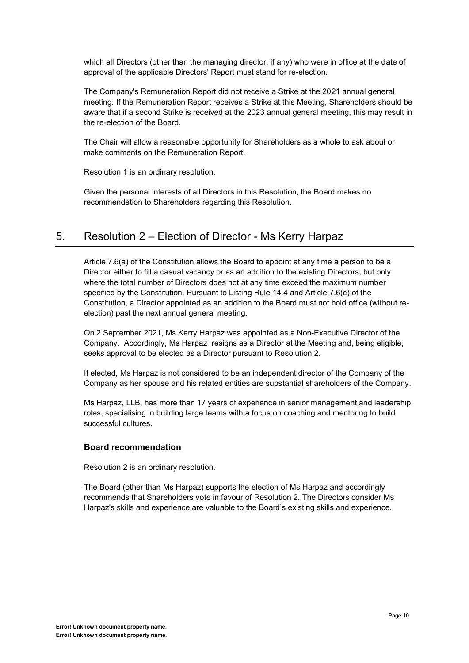which all Directors (other than the managing director, if any) who were in office at the date of approval of the applicable Directors' Report must stand for re-election.

The Company's Remuneration Report did not receive a Strike at the 2021 annual general meeting. If the Remuneration Report receives a Strike at this Meeting, Shareholders should be aware that if a second Strike is received at the 2023 annual general meeting, this may result in the re-election of the Board.

The Chair will allow a reasonable opportunity for Shareholders as a whole to ask about or make comments on the Remuneration Report.

Resolution 1 is an ordinary resolution.

Given the personal interests of all Directors in this Resolution, the Board makes no recommendation to Shareholders regarding this Resolution.

## 5. Resolution 2 – Election of Director - Ms Kerry Harpaz

Article 7.6(a) of the Constitution allows the Board to appoint at any time a person to be a Director either to fill a casual vacancy or as an addition to the existing Directors, but only where the total number of Directors does not at any time exceed the maximum number specified by the Constitution. Pursuant to Listing Rule 14.4 and Article 7.6(c) of the Constitution, a Director appointed as an addition to the Board must not hold office (without reelection) past the next annual general meeting.

On 2 September 2021, Ms Kerry Harpaz was appointed as a Non-Executive Director of the Company. Accordingly, Ms Harpaz resigns as a Director at the Meeting and, being eligible, seeks approval to be elected as a Director pursuant to Resolution 2.

If elected, Ms Harpaz is not considered to be an independent director of the Company of the Company as her spouse and his related entities are substantial shareholders of the Company.

Ms Harpaz, LLB, has more than 17 years of experience in senior management and leadership roles, specialising in building large teams with a focus on coaching and mentoring to build successful cultures.

#### 5.1 **Board recommendation**

Resolution 2 is an ordinary resolution.

The Board (other than Ms Harpaz) supports the election of Ms Harpaz and accordingly recommends that Shareholders vote in favour of Resolution 2. The Directors consider Ms Harpaz's skills and experience are valuable to the Board's existing skills and experience.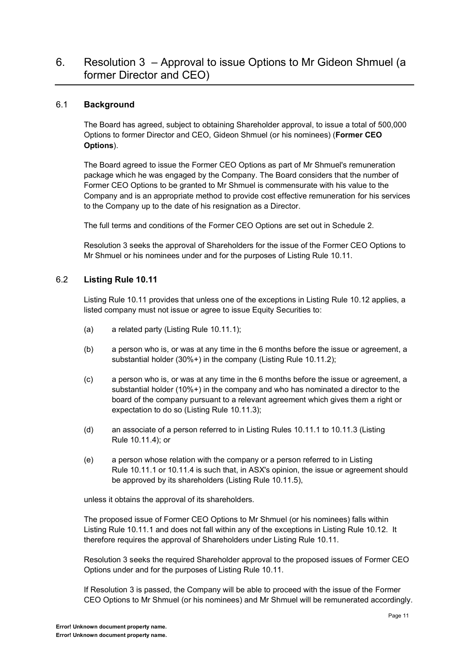## 6. Resolution  $3 -$  Approval to issue Options to Mr Gideon Shmuel (a former Director and CEO)

#### 6.1 **Background**

The Board has agreed, subject to obtaining Shareholder approval, to issue a total of 500,000 Options to former Director and CEO, Gideon Shmuel (or his nominees) (**Former CEO Options**).

The Board agreed to issue the Former CEO Options as part of Mr Shmuel's remuneration package which he was engaged by the Company. The Board considers that the number of Former CEO Options to be granted to Mr Shmuel is commensurate with his value to the Company and is an appropriate method to provide cost effective remuneration for his services to the Company up to the date of his resignation as a Director.

The full terms and conditions of the Former CEO Options are set out in [Schedule](#page-0-0) [2.](#page-0-0)

Resolution 3 seeks the approval of Shareholders for the issue of the Former CEO Options to Mr Shmuel or his nominees under and for the purposes of Listing Rule 10.11.

#### 6.2 **Listing Rule 10.11**

Listing Rule 10.11 provides that unless one of the exceptions in Listing Rule 10.12 applies, a listed company must not issue or agree to issue Equity Securities to:

- (a) a related party (Listing Rule 10.11.1);
- (b) a person who is, or was at any time in the 6 months before the issue or agreement, a substantial holder (30%+) in the company (Listing Rule 10.11.2);
- (c) a person who is, or was at any time in the 6 months before the issue or agreement, a substantial holder (10%+) in the company and who has nominated a director to the board of the company pursuant to a relevant agreement which gives them a right or expectation to do so (Listing Rule 10.11.3);
- (d) an associate of a person referred to in Listing Rules 10.11.1 to 10.11.3 (Listing Rule 10.11.4); or
- (e) a person whose relation with the company or a person referred to in Listing Rule 10.11.1 or 10.11.4 is such that, in ASX's opinion, the issue or agreement should be approved by its shareholders (Listing Rule 10.11.5),

unless it obtains the approval of its shareholders.

The proposed issue of Former CEO Options to Mr Shmuel (or his nominees) falls within Listing Rule 10.11.1 and does not fall within any of the exceptions in Listing Rule 10.12. It therefore requires the approval of Shareholders under Listing Rule 10.11.

Resolution 3 seeks the required Shareholder approval to the proposed issues of Former CEO Options under and for the purposes of Listing Rule 10.11.

If Resolution 3 is passed, the Company will be able to proceed with the issue of the Former CEO Options to Mr Shmuel (or his nominees) and Mr Shmuel will be remunerated accordingly.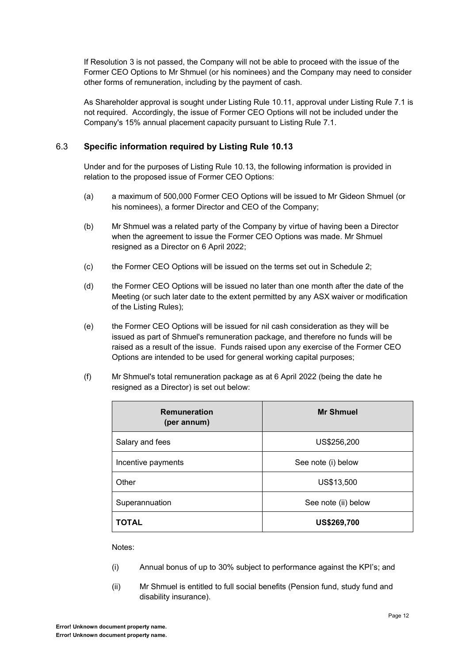If Resolution 3 is not passed, the Company will not be able to proceed with the issue of the Former CEO Options to Mr Shmuel (or his nominees) and the Company may need to consider other forms of remuneration, including by the payment of cash.

As Shareholder approval is sought under Listing Rule 10.11, approval under Listing Rule 7.1 is not required. Accordingly, the issue of Former CEO Options will not be included under the Company's 15% annual placement capacity pursuant to Listing Rule 7.1.

#### 6.3 **Specific information required by Listing Rule 10.13**

Under and for the purposes of Listing Rule 10.13, the following information is provided in relation to the proposed issue of Former CEO Options:

- (a) a maximum of 500,000 Former CEO Options will be issued to Mr Gideon Shmuel (or his nominees), a former Director and CEO of the Company;
- (b) Mr Shmuel was a related party of the Company by virtue of having been a Director when the agreement to issue the Former CEO Options was made. Mr Shmuel resigned as a Director on 6 April 2022;
- (c) the Former CEO Options will be issued on the terms set out in [Schedule](#page-0-0) [2;](#page-0-0)
- (d) the Former CEO Options will be issued no later than one month after the date of the Meeting (or such later date to the extent permitted by any ASX waiver or modification of the Listing Rules);
- (e) the Former CEO Options will be issued for nil cash consideration as they will be issued as part of Shmuel's remuneration package, and therefore no funds will be raised as a result of the issue. Funds raised upon any exercise of the Former CEO Options are intended to be used for general working capital purposes;
- (f) Mr Shmuel's total remuneration package as at 6 April 2022 (being the date he resigned as a Director) is set out below:

| <b>Remuneration</b><br>(per annum) | <b>Mr Shmuel</b>    |
|------------------------------------|---------------------|
| Salary and fees                    | US\$256,200         |
| Incentive payments                 | See note (i) below  |
| Other                              | US\$13,500          |
| Superannuation                     | See note (ii) below |
| ΤΟΤΑL                              | US\$269,700         |

Notes:

- (i) Annual bonus of up to 30% subject to performance against the KPI's; and
- (ii) Mr Shmuel is entitled to full social benefits (Pension fund, study fund and disability insurance).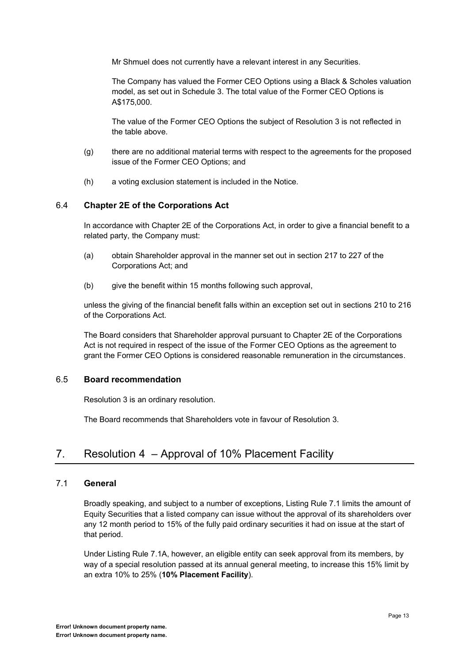Mr Shmuel does not currently have a relevant interest in any Securities.

The Company has valued the Former CEO Options using a Black & Scholes valuation model, as set out in Schedule 3. The total value of the Former CEO Options is A\$175,000.

The value of the Former CEO Options the subject of Resolution 3 is not reflected in the table above.

- (g) there are no additional material terms with respect to the agreements for the proposed issue of the Former CEO Options; and
- (h) a voting exclusion statement is included in the Notice.

#### 6.4 **Chapter 2E of the Corporations Act**

In accordance with Chapter 2E of the Corporations Act, in order to give a financial benefit to a related party, the Company must:

- (a) obtain Shareholder approval in the manner set out in section 217 to 227 of the Corporations Act; and
- (b) give the benefit within 15 months following such approval,

unless the giving of the financial benefit falls within an exception set out in sections 210 to 216 of the Corporations Act.

The Board considers that Shareholder approval pursuant to Chapter 2E of the Corporations Act is not required in respect of the issue of the Former CEO Options as the agreement to grant the Former CEO Options is considered reasonable remuneration in the circumstances.

#### 6.5 **Board recommendation**

Resolution 3 is an ordinary resolution.

The Board recommends that Shareholders vote in favour of Resolution 3.

## 7. Resolution  $4 -$  Approval of 10% Placement Facility

#### 7.1 **General**

Broadly speaking, and subject to a number of exceptions, Listing Rule 7.1 limits the amount of Equity Securities that a listed company can issue without the approval of its shareholders over any 12 month period to 15% of the fully paid ordinary securities it had on issue at the start of that period.

Under Listing Rule 7.1A, however, an eligible entity can seek approval from its members, by way of a special resolution passed at its annual general meeting, to increase this 15% limit by an extra 10% to 25% (**10% Placement Facility**).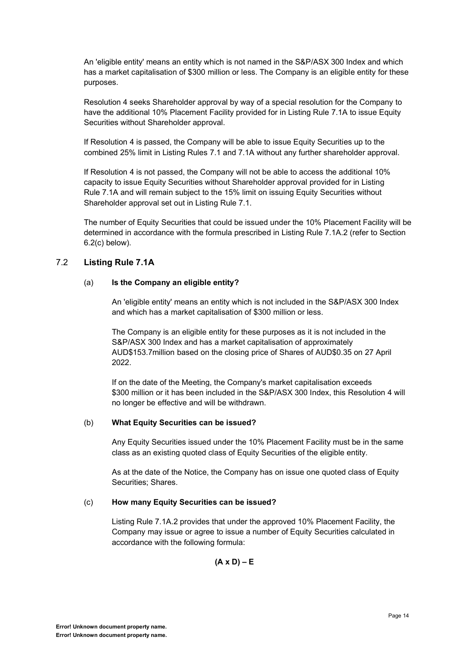An 'eligible entity' means an entity which is not named in the S&P/ASX 300 Index and which has a market capitalisation of \$300 million or less. The Company is an eligible entity for these purposes.

Resolution 4 seeks Shareholder approval by way of a special resolution for the Company to have the additional 10% Placement Facility provided for in Listing Rule 7.1A to issue Equity Securities without Shareholder approval.

If Resolution 4 is passed, the Company will be able to issue Equity Securities up to the combined 25% limit in Listing Rules 7.1 and 7.1A without any further shareholder approval.

If Resolution 4 is not passed, the Company will not be able to access the additional 10% capacity to issue Equity Securities without Shareholder approval provided for in Listing Rule 7.1A and will remain subject to the 15% limit on issuing Equity Securities without Shareholder approval set out in Listing Rule 7.1.

The number of Equity Securities that could be issued under the 10% Placement Facility will be determined in accordance with the formula prescribed in Listing Rule 7.1A.2 (refer to Section 6.2(c) below).

#### 7.2 **Listing Rule 7.1A**

#### (a) **Is the Company an eligible entity?**

An 'eligible entity' means an entity which is not included in the S&P/ASX 300 Index and which has a market capitalisation of \$300 million or less.

The Company is an eligible entity for these purposes as it is not included in the S&P/ASX 300 Index and has a market capitalisation of approximately AUD\$153.7million based on the closing price of Shares of AUD\$0.35 on 27 April 2022.

If on the date of the Meeting, the Company's market capitalisation exceeds \$300 million or it has been included in the S&P/ASX 300 Index, this Resolution 4 will no longer be effective and will be withdrawn.

#### (b) **What Equity Securities can be issued?**

Any Equity Securities issued under the 10% Placement Facility must be in the same class as an existing quoted class of Equity Securities of the eligible entity.

As at the date of the Notice, the Company has on issue one quoted class of Equity Securities; Shares.

#### (c) **How many Equity Securities can be issued?**

Listing Rule 7.1A.2 provides that under the approved 10% Placement Facility, the Company may issue or agree to issue a number of Equity Securities calculated in accordance with the following formula:

 $(A \times D) - E$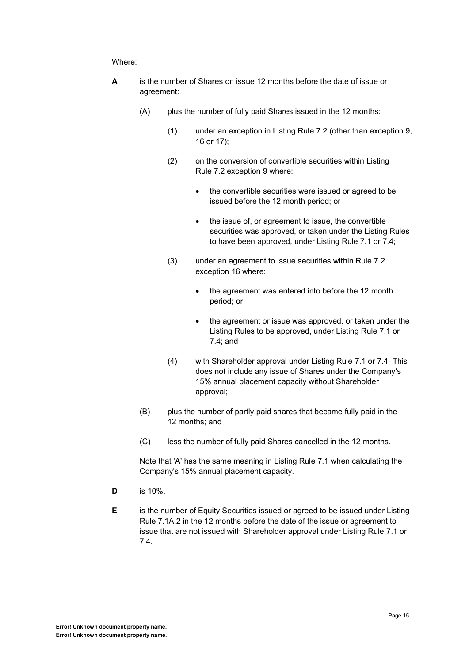#### Where:

- **A** is the number of Shares on issue 12 months before the date of issue or agreement:
	- (A) plus the number of fully paid Shares issued in the 12 months:
		- (1) under an exception in Listing Rule 7.2 (other than exception 9, 16 or 17);
		- (2) on the conversion of convertible securities within Listing Rule 7.2 exception 9 where:
			- the convertible securities were issued or agreed to be issued before the 12 month period; or
			- the issue of, or agreement to issue, the convertible securities was approved, or taken under the Listing Rules to have been approved, under Listing Rule 7.1 or 7.4;
		- (3) under an agreement to issue securities within Rule 7.2 exception 16 where:
			- the agreement was entered into before the 12 month period; or
			- the agreement or issue was approved, or taken under the Listing Rules to be approved, under Listing Rule 7.1 or 7.4; and
		- (4) with Shareholder approval under Listing Rule 7.1 or 7.4. This does not include any issue of Shares under the Company's 15% annual placement capacity without Shareholder approval;
	- (B) plus the number of partly paid shares that became fully paid in the 12 months; and
	- (C) less the number of fully paid Shares cancelled in the 12 months.

Note that 'A' has the same meaning in Listing Rule 7.1 when calculating the Company's 15% annual placement capacity.

- **D** is 10%.
- **E** is the number of Equity Securities issued or agreed to be issued under Listing Rule 7.1A.2 in the 12 months before the date of the issue or agreement to issue that are not issued with Shareholder approval under Listing Rule 7.1 or 7.4.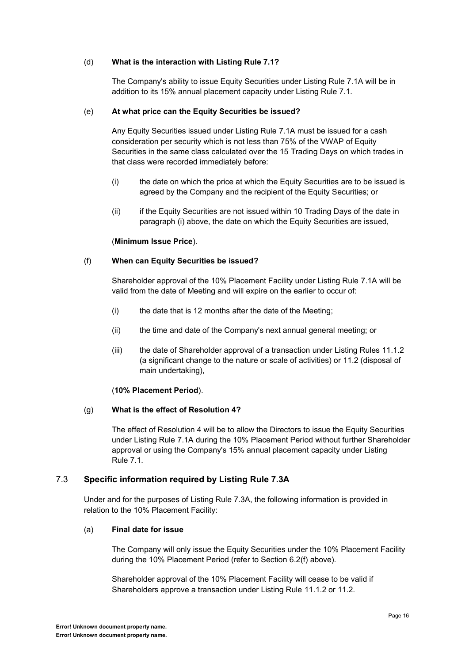#### (d) **What is the interaction with Listing Rule 7.1?**

The Company's ability to issue Equity Securities under Listing Rule 7.1A will be in addition to its 15% annual placement capacity under Listing Rule 7.1.

#### (e) **At what price can the Equity Securities be issued?**

Any Equity Securities issued under Listing Rule 7.1A must be issued for a cash consideration per security which is not less than 75% of the VWAP of Equity Securities in the same class calculated over the 15 Trading Days on which trades in that class were recorded immediately before:

- (i) the date on which the price at which the Equity Securities are to be issued is agreed by the Company and the recipient of the Equity Securities; or
- (ii) if the Equity Securities are not issued within 10 Trading Days of the date in paragraph [\(i\)](#page-0-6) above, the date on which the Equity Securities are issued,

#### (**Minimum Issue Price**).

#### (f) **When can Equity Securities be issued?**

Shareholder approval of the 10% Placement Facility under Listing Rule 7.1A will be valid from the date of Meeting and will expire on the earlier to occur of:

- (i) the date that is 12 months after the date of the Meeting;
- (ii) the time and date of the Company's next annual general meeting; or
- (iii) the date of Shareholder approval of a transaction under Listing Rules 11.1.2 (a significant change to the nature or scale of activities) or 11.2 (disposal of main undertaking),

#### (**10% Placement Period**).

#### (g) **What is the effect of Resolution 4?**

The effect of Resolution 4 will be to allow the Directors to issue the Equity Securities under Listing Rule 7.1A during the 10% Placement Period without further Shareholder approval or using the Company's 15% annual placement capacity under Listing Rule 7.1.

#### 7.3 **Specific information required by Listing Rule 7.3A**

Under and for the purposes of Listing Rule 7.3A, the following information is provided in relation to the 10% Placement Facility:

#### (a) **Final date for issue**

The Company will only issue the Equity Securities under the 10% Placement Facility during the 10% Placement Period (refer to Section 6.2(f) above).

Shareholder approval of the 10% Placement Facility will cease to be valid if Shareholders approve a transaction under Listing Rule 11.1.2 or 11.2.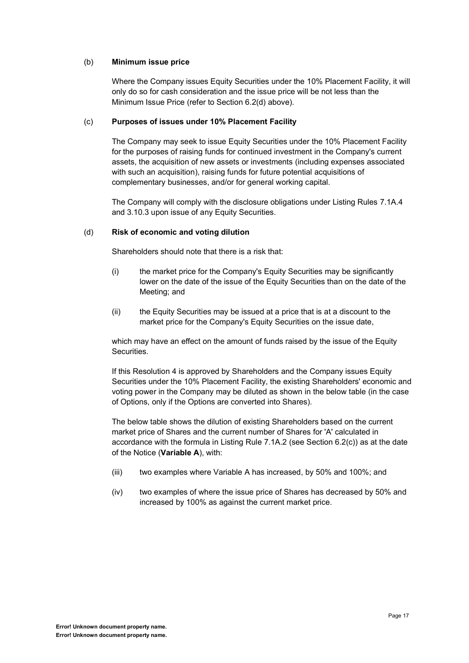#### (b) **Minimum issue price**

Where the Company issues Equity Securities under the 10% Placement Facility, it will only do so for cash consideration and the issue price will be not less than the Minimum Issue Price (refer to Section 6.2(d) above).

#### (c) **Purposes of issues under 10% Placement Facility**

The Company may seek to issue Equity Securities under the 10% Placement Facility for the purposes of raising funds for continued investment in the Company's current assets, the acquisition of new assets or investments (including expenses associated with such an acquisition), raising funds for future potential acquisitions of complementary businesses, and/or for general working capital.

The Company will comply with the disclosure obligations under Listing Rules 7.1A.4 and 3.10.3 upon issue of any Equity Securities.

#### (d) **Risk of economic and voting dilution**

Shareholders should note that there is a risk that:

- (i) the market price for the Company's Equity Securities may be significantly lower on the date of the issue of the Equity Securities than on the date of the Meeting; and
- (ii) the Equity Securities may be issued at a price that is at a discount to the market price for the Company's Equity Securities on the issue date,

which may have an effect on the amount of funds raised by the issue of the Equity **Securities** 

If this Resolution 4 is approved by Shareholders and the Company issues Equity Securities under the 10% Placement Facility, the existing Shareholders' economic and voting power in the Company may be diluted as shown in the below table (in the case of Options, only if the Options are converted into Shares).

The below table shows the dilution of existing Shareholders based on the current market price of Shares and the current number of Shares for 'A' calculated in accordance with the formula in Listing Rule 7.1A.2 (see Section 6.2(c)) as at the date of the Notice (**Variable A**), with:

- (iii) two examples where Variable A has increased, by 50% and 100%; and
- (iv) two examples of where the issue price of Shares has decreased by 50% and increased by 100% as against the current market price.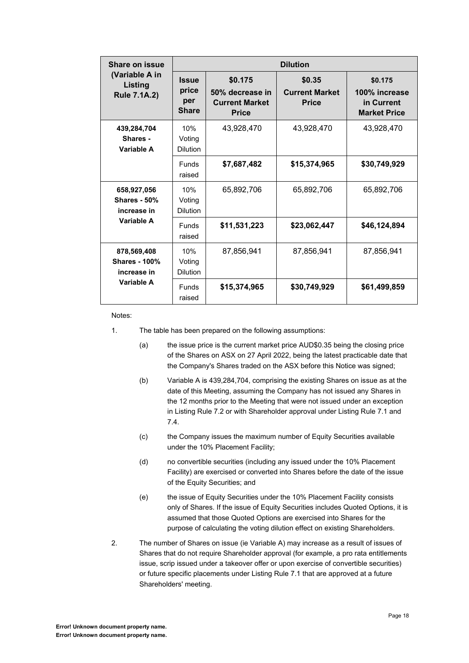| Share on issue                                     | <b>Dilution</b>                              |                                                                     |                                                 |                                                               |
|----------------------------------------------------|----------------------------------------------|---------------------------------------------------------------------|-------------------------------------------------|---------------------------------------------------------------|
| (Variable A in<br>Listing<br><b>Rule 7.1A.2)</b>   | <b>Issue</b><br>price<br>per<br><b>Share</b> | \$0.175<br>50% decrease in<br><b>Current Market</b><br><b>Price</b> | \$0.35<br><b>Current Market</b><br><b>Price</b> | \$0.175<br>100% increase<br>in Current<br><b>Market Price</b> |
| 439,284,704<br>Shares -<br>Variable A              | 10%<br>Voting<br><b>Dilution</b>             | 43,928,470                                                          | 43,928,470                                      | 43,928,470                                                    |
|                                                    | <b>Funds</b><br>raised                       | \$7,687,482                                                         | \$15,374,965                                    | \$30,749,929                                                  |
| 658,927,056<br><b>Shares - 50%</b><br>increase in  | 10%<br>Voting<br><b>Dilution</b>             | 65,892,706                                                          | 65,892,706                                      | 65,892,706                                                    |
| Variable A                                         | <b>Funds</b><br>raised                       | \$11,531,223                                                        | \$23,062,447                                    | \$46,124,894                                                  |
| 878,569,408<br><b>Shares - 100%</b><br>increase in | 10%<br>Voting<br><b>Dilution</b>             | 87,856,941                                                          | 87,856,941                                      | 87,856,941                                                    |
| Variable A                                         | <b>Funds</b><br>raised                       | \$15,374,965                                                        | \$30,749,929                                    | \$61,499,859                                                  |

Notes:

- 1. The table has been prepared on the following assumptions:
	- (a) the issue price is the current market price AUD\$0.35 being the closing price of the Shares on ASX on 27 April 2022, being the latest practicable date that the Company's Shares traded on the ASX before this Notice was signed;
	- (b) Variable A is 439,284,704, comprising the existing Shares on issue as at the date of this Meeting, assuming the Company has not issued any Shares in the 12 months prior to the Meeting that were not issued under an exception in Listing Rule 7.2 or with Shareholder approval under Listing Rule 7.1 and 7.4.
	- (c) the Company issues the maximum number of Equity Securities available under the 10% Placement Facility;
	- (d) no convertible securities (including any issued under the 10% Placement Facility) are exercised or converted into Shares before the date of the issue of the Equity Securities; and
	- (e) the issue of Equity Securities under the 10% Placement Facility consists only of Shares. If the issue of Equity Securities includes Quoted Options, it is assumed that those Quoted Options are exercised into Shares for the purpose of calculating the voting dilution effect on existing Shareholders.
- 2. The number of Shares on issue (ie Variable A) may increase as a result of issues of Shares that do not require Shareholder approval (for example, a pro rata entitlements issue, scrip issued under a takeover offer or upon exercise of convertible securities) or future specific placements under Listing Rule 7.1 that are approved at a future Shareholders' meeting.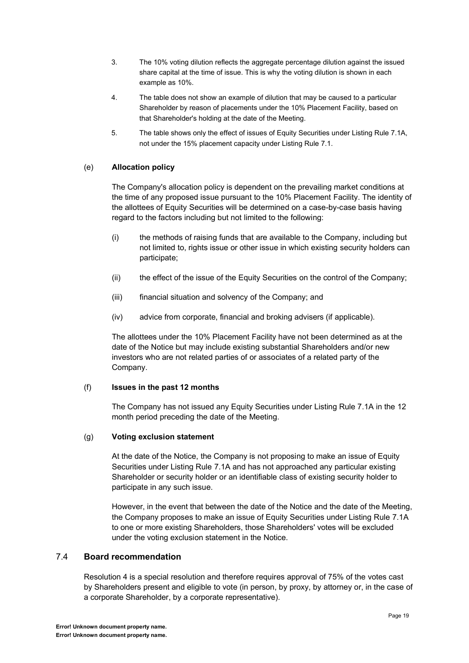- 3. The 10% voting dilution reflects the aggregate percentage dilution against the issued share capital at the time of issue. This is why the voting dilution is shown in each example as 10%.
- 4. The table does not show an example of dilution that may be caused to a particular Shareholder by reason of placements under the 10% Placement Facility, based on that Shareholder's holding at the date of the Meeting.
- 5. The table shows only the effect of issues of Equity Securities under Listing Rule 7.1A, not under the 15% placement capacity under Listing Rule 7.1.

#### (e) **Allocation policy**

The Company's allocation policy is dependent on the prevailing market conditions at the time of any proposed issue pursuant to the 10% Placement Facility. The identity of the allottees of Equity Securities will be determined on a case-by-case basis having regard to the factors including but not limited to the following:

- (i) the methods of raising funds that are available to the Company, including but not limited to, rights issue or other issue in which existing security holders can participate;
- (ii) the effect of the issue of the Equity Securities on the control of the Company;
- (iii) financial situation and solvency of the Company; and
- (iv) advice from corporate, financial and broking advisers (if applicable).

The allottees under the 10% Placement Facility have not been determined as at the date of the Notice but may include existing substantial Shareholders and/or new investors who are not related parties of or associates of a related party of the Company.

#### (f) **Issues in the past 12 months**

The Company has not issued any Equity Securities under Listing Rule 7.1A in the 12 month period preceding the date of the Meeting.

#### (g) **Voting exclusion statement**

At the date of the Notice, the Company is not proposing to make an issue of Equity Securities under Listing Rule 7.1A and has not approached any particular existing Shareholder or security holder or an identifiable class of existing security holder to participate in any such issue.

However, in the event that between the date of the Notice and the date of the Meeting, the Company proposes to make an issue of Equity Securities under Listing Rule 7.1A to one or more existing Shareholders, those Shareholders' votes will be excluded under the voting exclusion statement in the Notice.

#### 7.4 **Board recommendation**

Resolution 4 is a special resolution and therefore requires approval of 75% of the votes cast by Shareholders present and eligible to vote (in person, by proxy, by attorney or, in the case of a corporate Shareholder, by a corporate representative).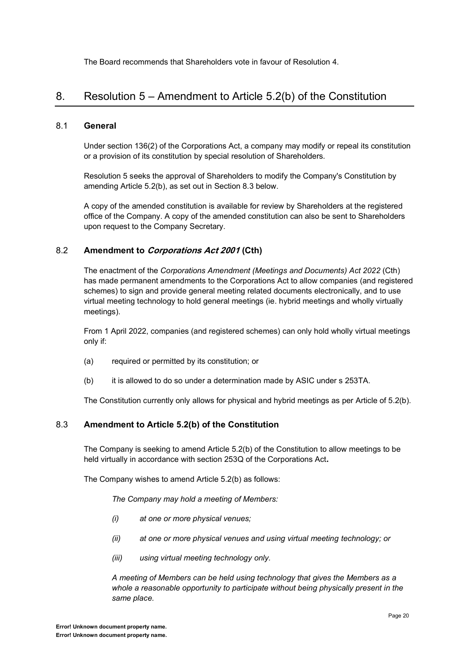The Board recommends that Shareholders vote in favour of Resolution 4.

## 8. Resolution  $5 -$  Amendment to Article  $5.2(b)$  of the Constitution

#### 8.1 **General**

Under section 136(2) of the Corporations Act, a company may modify or repeal its constitution or a provision of its constitution by special resolution of Shareholders.

Resolution 5 seeks the approval of Shareholders to modify the Company's Constitution by amending Article 5.2(b), as set out in Section [8.3](#page-0-7) below.

A copy of the amended constitution is available for review by Shareholders at the registered office of the Company. A copy of the amended constitution can also be sent to Shareholders upon request to the Company Secretary.

#### 8.2 **Amendment to Corporations Act 2001 (Cth)**

The enactment of the *Corporations Amendment (Meetings and Documents) Act 2022* (Cth) has made permanent amendments to the Corporations Act to allow companies (and registered schemes) to sign and provide general meeting related documents electronically, and to use virtual meeting technology to hold general meetings (ie. hybrid meetings and wholly virtually meetings).

From 1 April 2022, companies (and registered schemes) can only hold wholly virtual meetings only if:

- (a) required or permitted by its constitution; or
- (b) it is allowed to do so under a determination made by ASIC under s 253TA.

The Constitution currently only allows for physical and hybrid meetings as per Article of 5.2(b).

#### 8.3 **Amendment to Article 5.2(b) of the Constitution**

The Company is seeking to amend Article 5.2(b) of the Constitution to allow meetings to be held virtually in accordance with section 253Q of the Corporations Act**.** 

The Company wishes to amend Article 5.2(b) as follows:

*The Company may hold a meeting of Members:* 

- *(i) at one or more physical venues;*
- *(ii) at one or more physical venues and using virtual meeting technology; or*
- *(iii) using virtual meeting technology only.*

*A meeting of Members can be held using technology that gives the Members as a whole a reasonable opportunity to participate without being physically present in the same place.*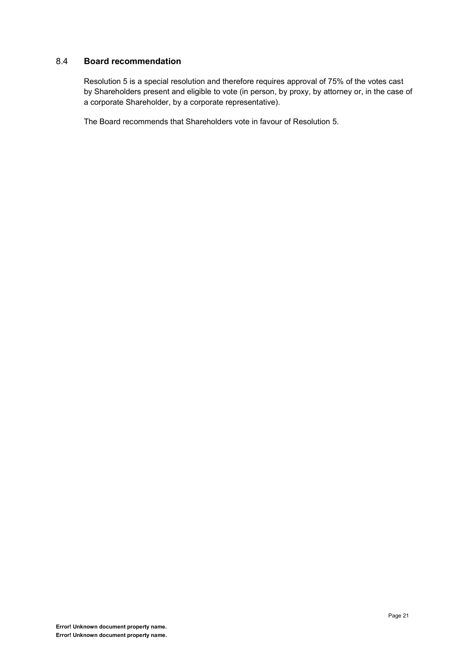### 8.4 **Board recommendation**

Resolution 5 is a special resolution and therefore requires approval of 75% of the votes cast by Shareholders present and eligible to vote (in person, by proxy, by attorney or, in the case of a corporate Shareholder, by a corporate representative).

The Board recommends that Shareholders vote in favour of Resolution 5.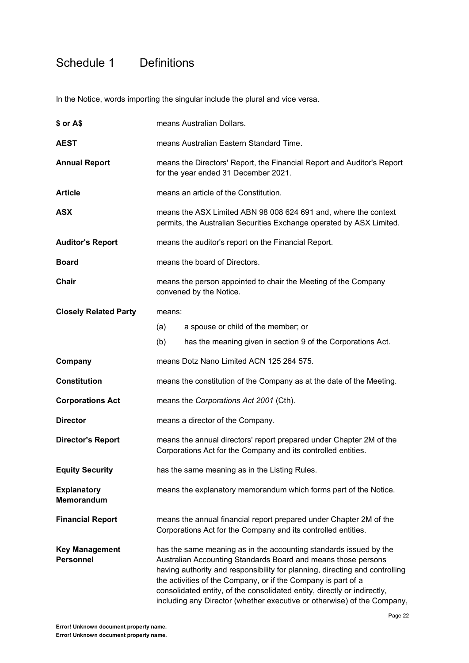## Schedule 1 Definitions

In the Notice, words importing the singular include the plural and vice versa.

| \$ or A\$                                 |        | means Australian Dollars.                                                                                                                                                                                                                                                                                                                                                                                                                 |
|-------------------------------------------|--------|-------------------------------------------------------------------------------------------------------------------------------------------------------------------------------------------------------------------------------------------------------------------------------------------------------------------------------------------------------------------------------------------------------------------------------------------|
| <b>AEST</b>                               |        | means Australian Eastern Standard Time.                                                                                                                                                                                                                                                                                                                                                                                                   |
| <b>Annual Report</b>                      |        | means the Directors' Report, the Financial Report and Auditor's Report<br>for the year ended 31 December 2021.                                                                                                                                                                                                                                                                                                                            |
| <b>Article</b>                            |        | means an article of the Constitution.                                                                                                                                                                                                                                                                                                                                                                                                     |
| <b>ASX</b>                                |        | means the ASX Limited ABN 98 008 624 691 and, where the context<br>permits, the Australian Securities Exchange operated by ASX Limited.                                                                                                                                                                                                                                                                                                   |
| <b>Auditor's Report</b>                   |        | means the auditor's report on the Financial Report.                                                                                                                                                                                                                                                                                                                                                                                       |
| <b>Board</b>                              |        | means the board of Directors.                                                                                                                                                                                                                                                                                                                                                                                                             |
| Chair                                     |        | means the person appointed to chair the Meeting of the Company<br>convened by the Notice.                                                                                                                                                                                                                                                                                                                                                 |
| <b>Closely Related Party</b>              | means: |                                                                                                                                                                                                                                                                                                                                                                                                                                           |
|                                           | (a)    | a spouse or child of the member; or                                                                                                                                                                                                                                                                                                                                                                                                       |
|                                           | (b)    | has the meaning given in section 9 of the Corporations Act.                                                                                                                                                                                                                                                                                                                                                                               |
| Company                                   |        | means Dotz Nano Limited ACN 125 264 575.                                                                                                                                                                                                                                                                                                                                                                                                  |
| <b>Constitution</b>                       |        | means the constitution of the Company as at the date of the Meeting.                                                                                                                                                                                                                                                                                                                                                                      |
| <b>Corporations Act</b>                   |        | means the Corporations Act 2001 (Cth).                                                                                                                                                                                                                                                                                                                                                                                                    |
| <b>Director</b>                           |        | means a director of the Company.                                                                                                                                                                                                                                                                                                                                                                                                          |
| <b>Director's Report</b>                  |        | means the annual directors' report prepared under Chapter 2M of the<br>Corporations Act for the Company and its controlled entities.                                                                                                                                                                                                                                                                                                      |
| <b>Equity Security</b>                    |        | has the same meaning as in the Listing Rules.                                                                                                                                                                                                                                                                                                                                                                                             |
| <b>Explanatory</b><br>Memorandum          |        | means the explanatory memorandum which forms part of the Notice.                                                                                                                                                                                                                                                                                                                                                                          |
| <b>Financial Report</b>                   |        | means the annual financial report prepared under Chapter 2M of the<br>Corporations Act for the Company and its controlled entities.                                                                                                                                                                                                                                                                                                       |
| <b>Key Management</b><br><b>Personnel</b> |        | has the same meaning as in the accounting standards issued by the<br>Australian Accounting Standards Board and means those persons<br>having authority and responsibility for planning, directing and controlling<br>the activities of the Company, or if the Company is part of a<br>consolidated entity, of the consolidated entity, directly or indirectly,<br>including any Director (whether executive or otherwise) of the Company, |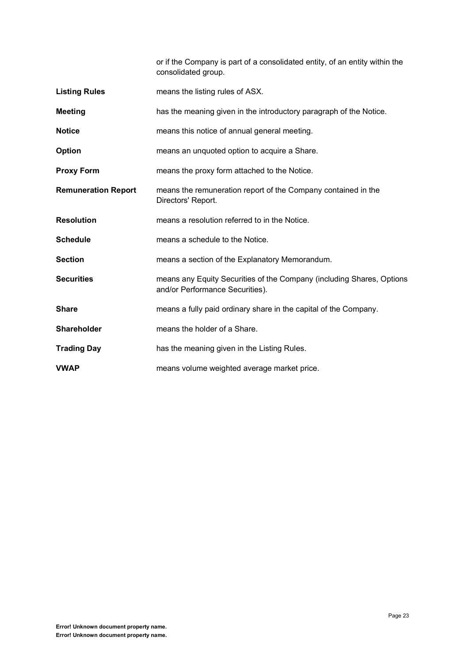or if the Company is part of a consolidated entity, of an entity within the consolidated group.

| <b>Listing Rules</b>       | means the listing rules of ASX.                                                                          |
|----------------------------|----------------------------------------------------------------------------------------------------------|
| <b>Meeting</b>             | has the meaning given in the introductory paragraph of the Notice.                                       |
| <b>Notice</b>              | means this notice of annual general meeting.                                                             |
| Option                     | means an unquoted option to acquire a Share.                                                             |
| <b>Proxy Form</b>          | means the proxy form attached to the Notice.                                                             |
| <b>Remuneration Report</b> | means the remuneration report of the Company contained in the<br>Directors' Report.                      |
| <b>Resolution</b>          | means a resolution referred to in the Notice.                                                            |
| <b>Schedule</b>            | means a schedule to the Notice.                                                                          |
| <b>Section</b>             | means a section of the Explanatory Memorandum.                                                           |
| <b>Securities</b>          | means any Equity Securities of the Company (including Shares, Options<br>and/or Performance Securities). |
| <b>Share</b>               | means a fully paid ordinary share in the capital of the Company.                                         |
| Shareholder                | means the holder of a Share.                                                                             |
| <b>Trading Day</b>         | has the meaning given in the Listing Rules.                                                              |
| <b>VWAP</b>                | means volume weighted average market price.                                                              |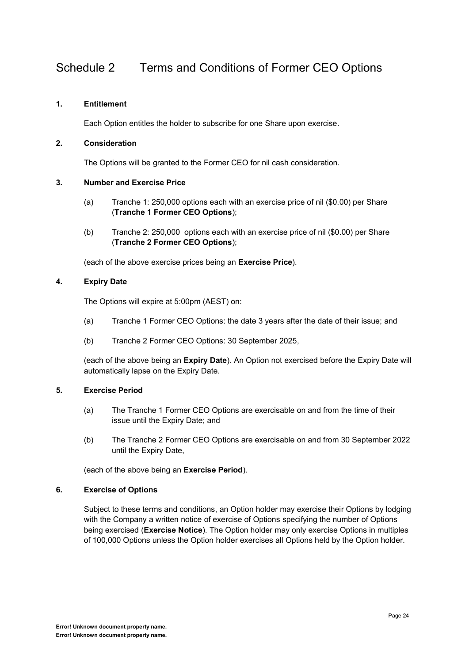## Schedule 2 Terms and Conditions of Former CEO Options

#### **1. Entitlement**

Each Option entitles the holder to subscribe for one Share upon exercise.

#### **2. Consideration**

The Options will be granted to the Former CEO for nil cash consideration.

#### **3. Number and Exercise Price**

- (a) Tranche 1: 250,000 options each with an exercise price of nil (\$0.00) per Share (**Tranche 1 Former CEO Options**);
- (b) Tranche 2: 250,000 options each with an exercise price of nil (\$0.00) per Share (**Tranche 2 Former CEO Options**);

(each of the above exercise prices being an **Exercise Price**).

#### **4. Expiry Date**

The Options will expire at 5:00pm (AEST) on:

- (a) Tranche 1 Former CEO Options: the date 3 years after the date of their issue; and
- (b) Tranche 2 Former CEO Options: 30 September 2025,

(each of the above being an **Expiry Date**). An Option not exercised before the Expiry Date will automatically lapse on the Expiry Date.

#### **5. Exercise Period**

- (a) The Tranche 1 Former CEO Options are exercisable on and from the time of their issue until the Expiry Date; and
- (b) The Tranche 2 Former CEO Options are exercisable on and from 30 September 2022 until the Expiry Date,

(each of the above being an **Exercise Period**).

#### **6. Exercise of Options**

Subject to these terms and conditions, an Option holder may exercise their Options by lodging with the Company a written notice of exercise of Options specifying the number of Options being exercised (**Exercise Notice**). The Option holder may only exercise Options in multiples of 100,000 Options unless the Option holder exercises all Options held by the Option holder.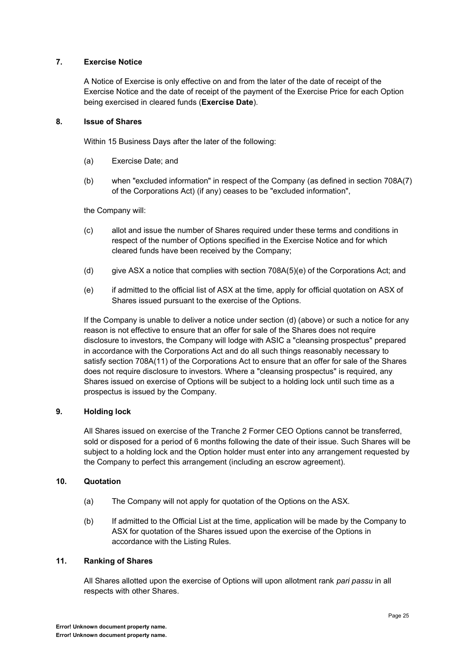#### **7. Exercise Notice**

A Notice of Exercise is only effective on and from the later of the date of receipt of the Exercise Notice and the date of receipt of the payment of the Exercise Price for each Option being exercised in cleared funds (**Exercise Date**).

#### **8. Issue of Shares**

Within 15 Business Days after the later of the following:

- (a) Exercise Date; and
- (b) when "excluded information" in respect of the Company (as defined in section 708A(7) of the Corporations Act) (if any) ceases to be "excluded information",

the Company will:

- (c) allot and issue the number of Shares required under these terms and conditions in respect of the number of Options specified in the Exercise Notice and for which cleared funds have been received by the Company;
- (d) give ASX a notice that complies with section 708A(5)(e) of the Corporations Act; and
- (e) if admitted to the official list of ASX at the time, apply for official quotation on ASX of Shares issued pursuant to the exercise of the Options.

If the Company is unable to deliver a notice under section (d) (above) or such a notice for any reason is not effective to ensure that an offer for sale of the Shares does not require disclosure to investors, the Company will lodge with ASIC a "cleansing prospectus" prepared in accordance with the Corporations Act and do all such things reasonably necessary to satisfy section 708A(11) of the Corporations Act to ensure that an offer for sale of the Shares does not require disclosure to investors. Where a "cleansing prospectus" is required, any Shares issued on exercise of Options will be subject to a holding lock until such time as a prospectus is issued by the Company.

#### **9. Holding lock**

All Shares issued on exercise of the Tranche 2 Former CEO Options cannot be transferred, sold or disposed for a period of 6 months following the date of their issue. Such Shares will be subject to a holding lock and the Option holder must enter into any arrangement requested by the Company to perfect this arrangement (including an escrow agreement).

#### **10. Quotation**

- (a) The Company will not apply for quotation of the Options on the ASX.
- (b) If admitted to the Official List at the time, application will be made by the Company to ASX for quotation of the Shares issued upon the exercise of the Options in accordance with the Listing Rules.

#### **11. Ranking of Shares**

All Shares allotted upon the exercise of Options will upon allotment rank *pari passu* in all respects with other Shares.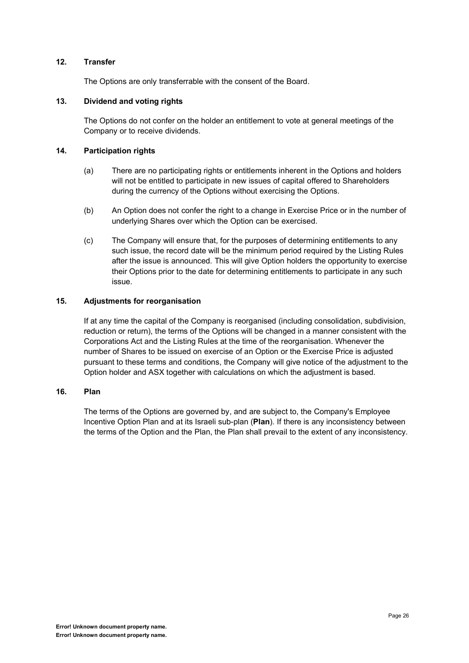#### **12. Transfer**

The Options are only transferrable with the consent of the Board.

#### **13. Dividend and voting rights**

The Options do not confer on the holder an entitlement to vote at general meetings of the Company or to receive dividends.

#### **14. Participation rights**

- (a) There are no participating rights or entitlements inherent in the Options and holders will not be entitled to participate in new issues of capital offered to Shareholders during the currency of the Options without exercising the Options.
- (b) An Option does not confer the right to a change in Exercise Price or in the number of underlying Shares over which the Option can be exercised.
- (c) The Company will ensure that, for the purposes of determining entitlements to any such issue, the record date will be the minimum period required by the Listing Rules after the issue is announced. This will give Option holders the opportunity to exercise their Options prior to the date for determining entitlements to participate in any such issue.

#### **15. Adjustments for reorganisation**

If at any time the capital of the Company is reorganised (including consolidation, subdivision, reduction or return), the terms of the Options will be changed in a manner consistent with the Corporations Act and the Listing Rules at the time of the reorganisation. Whenever the number of Shares to be issued on exercise of an Option or the Exercise Price is adjusted pursuant to these terms and conditions, the Company will give notice of the adjustment to the Option holder and ASX together with calculations on which the adjustment is based.

#### **16. Plan**

The terms of the Options are governed by, and are subject to, the Company's Employee Incentive Option Plan and at its Israeli sub-plan (**Plan**). If there is any inconsistency between the terms of the Option and the Plan, the Plan shall prevail to the extent of any inconsistency.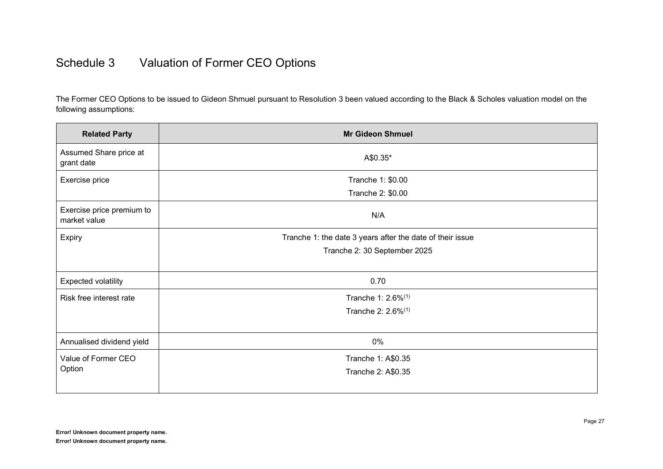## Schedule 3 Valuation of Former CEO Options

The Former CEO Options to be issued to Gideon Shmuel pursuant to Resolution 3 been valued according to the Black & Scholes valuation model on the following assumptions:

| <b>Related Party</b>                      | <b>Mr Gideon Shmuel</b>                                   |
|-------------------------------------------|-----------------------------------------------------------|
| Assumed Share price at<br>grant date      | A\$0.35*                                                  |
| Exercise price                            | Tranche 1: \$0.00                                         |
|                                           | Tranche 2: \$0.00                                         |
| Exercise price premium to<br>market value | N/A                                                       |
| Expiry                                    | Tranche 1: the date 3 years after the date of their issue |
|                                           | Tranche 2: 30 September 2025                              |
|                                           |                                                           |
| <b>Expected volatility</b>                | 0.70                                                      |
| Risk free interest rate                   | Tranche 1: 2.6% <sup>(1)</sup>                            |
|                                           | Tranche 2: 2.6% <sup>(1)</sup>                            |
|                                           |                                                           |
| Annualised dividend yield                 | 0%                                                        |
| Value of Former CEO                       | Tranche 1: A\$0.35                                        |
| Option                                    | Tranche 2: A\$0.35                                        |
|                                           |                                                           |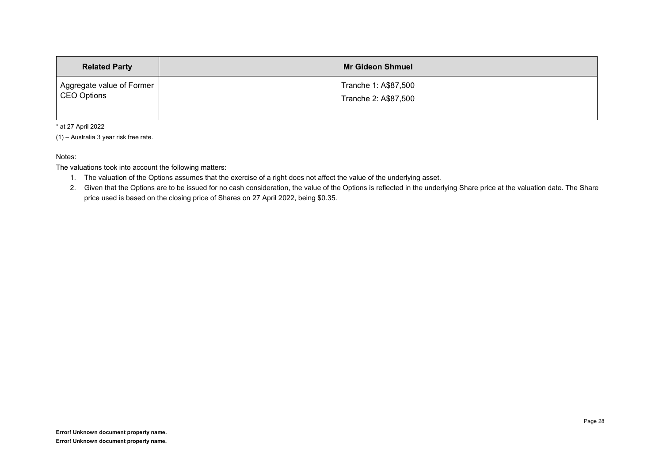| <b>Related Party</b>      | <b>Mr Gideon Shmuel</b> |
|---------------------------|-------------------------|
| Aggregate value of Former | Tranche 1: A\$87,500    |
| CEO Options               | Tranche 2: A\$87,500    |

\* at 27 April 2022

 $(1)$  - Australia 3 year risk free rate.

Notes:

The valuations took into account the following matters:

- 1. The valuation of the Options assumes that the exercise of a right does not affect the value of the underlying asset.
- 2. Given that the Options are to be issued for no cash consideration, the value of the Options is reflected in the underlying Share price at the valuation date. The Share price used is based on the closing price of Shares on 27 April 2022, being \$0.35.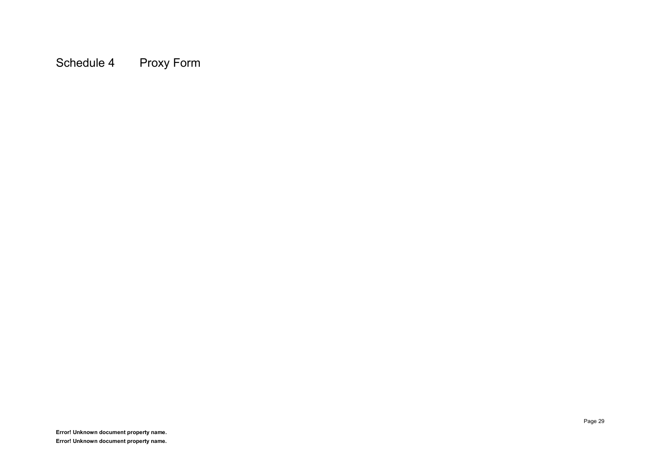Schedule 4 Proxy Form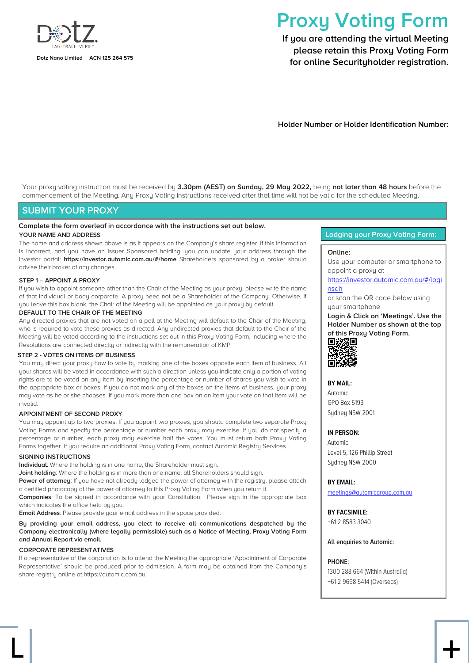

# **Proxy Voting Form**

**If you are attending the virtual Meeting please retain this Proxy Voting Form for online Securityholder registration.**

**Holder Number or Holder Identification Number:**

Your proxy voting instruction must be received by **3.30pm (AEST) on Sunday, 29 May 2022,** being **not later than 48 hours** before the commencement of the Meeting. Any Proxy Voting instructions received after that time will not be valid for the scheduled Meeting.

#### **SUBMIT YOUR PROXY**

#### **Complete the form overleaf in accordance with the instructions set out below.**

#### **YOUR NAME AND ADDRESS**

The name and address shown above is as it appears on the Company's share register. If this information is incorrect, and you have an Issuer Sponsored holding, you can update your address through the investor portal: **https://investor.automic.com.au/#/home** Shareholders sponsored by a broker should advise their broker of any changes.

#### **STEP 1 – APPOINT A PROXY**

If you wish to appoint someone other than the Chair of the Meeting as your proxy, please write the name of that Individual or body corporate. A proxy need not be a Shareholder of the Company. Otherwise, if you leave this box blank, the Chair of the Meeting will be appointed as your proxy by default.

#### **DEFAULT TO THE CHAIR OF THE MEETING**

Any directed proxies that are not voted on a poll at the Meeting will default to the Chair of the Meeting, who is required to vote these proxies as directed. Any undirected proxies that default to the Chair of the Meeting will be voted according to the instructions set out in this Proxy Voting Form, including where the Resolutions are connected directly or indirectly with the remuneration of KMP.

#### **STEP 2 - VOTES ON ITEMS OF BUSINESS**

You may direct your proxy how to vote by marking one of the boxes opposite each item of business. All your shares will be voted in accordance with such a direction unless you indicate only a portion of voting rights are to be voted on any item by inserting the percentage or number of shares you wish to vote in the appropriate box or boxes. If you do not mark any of the boxes on the items of business, your proxy may vote as he or she chooses. If you mark more than one box on an item your vote on that item will be invalid.

#### **APPOINTMENT OF SECOND PROXY**

You may appoint up to two proxies. If you appoint two proxies, you should complete two separate Proxy Voting Forms and specify the percentage or number each proxy may exercise. If you do not specify a percentage or number, each proxy may exercise half the votes. You must return both Proxy Voting Forms together. If you require an additional Proxy Voting Form, contact Automic Registry Services.

#### **SIGNING INSTRUCTIONS**

**Individual**: Where the holding is in one name, the Shareholder must sign.

**Joint holding**: Where the holding is in more than one name, all Shareholders should sign.

**Power of attorney**: If you have not already lodged the power of attorney with the registry, please attach a certified photocopy of the power of attorney to this Proxy Voting Form when you return it.

**Companies**: To be signed in accordance with your Constitution. Please sign in the appropriate box which indicates the office held by you.

**Email Address**: Please provide your email address in the space provided.

**By providing your email address, you elect to receive all communications despatched by the Company electronically (where legally permissible) such as a Notice of Meeting, Proxy Voting Form and Annual Report via email.**

#### **CORPORATE REPRESENTATIVES**

If a representative of the corporation is to attend the Meeting the appropriate 'Appointment of Corporate Representative' should be produced prior to admission. A form may be obtained from the Company's share registry online at https://automic.com.au.

ൢ +

#### **Lodging your Proxy Voting Form:**

#### **Online:**

Use your computer or smartphone to appoint a proxy at

#### [https://investor.automic.com.au/#/logi](https://investor.automic.com.au/#/loginsah) [nsah](https://investor.automic.com.au/#/loginsah)

or scan the QR code below using your smartphone

**Login & Click on 'Meetings'. Use the Holder Number as shown at the top of this Proxy Voting Form.** 



**BY MAIL:**

Automic GPO Box 5193 Sudney NSW 2001

#### **IN PERSON:**

Automic Level 5, 126 Phillip Street Sydney NSW 2000

**BY EMAIL:**

[meetings@automicgroup.com.au](mailto:meetings@automicgroup.com.au)

**BY FACSIMILE:** +61 2 8583 3040

**All enquiries to Automic:**

#### **PHONE:**

1300 288 664 (Within Australia) +61 2 9698 5414 (Overseas)